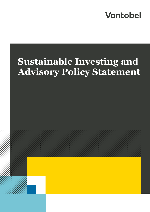## **Vontobel**

# **Sustainable Investing and Advisory Policy Statement**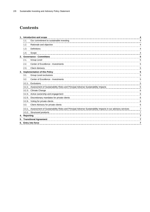### **Contents**

|    | 1. Introduction and scope<br>4   |                                                                                                                 |   |  |
|----|----------------------------------|-----------------------------------------------------------------------------------------------------------------|---|--|
|    | 1.1.                             | Our commitment to sustainable investing                                                                         |   |  |
|    | 1.2.                             | Rationale and objective                                                                                         |   |  |
|    | 1.3.                             | Definitions                                                                                                     | 4 |  |
|    | 1.4.                             | Scope                                                                                                           |   |  |
|    | 2. Governance - Committees       |                                                                                                                 |   |  |
|    | 2.1.                             | Group Level                                                                                                     | 5 |  |
|    | 2.2.                             | Center of Excellence - Investments                                                                              | 5 |  |
|    | 2.3.                             | <b>Client Advisory</b>                                                                                          | 5 |  |
|    | 3. Implementation of this Policy |                                                                                                                 |   |  |
|    | 3.1.                             | Group Level exclusions                                                                                          | 5 |  |
|    | 3.2.                             | Center of Excellence - Investments                                                                              | 5 |  |
|    |                                  | 3.2.1. Exclusions                                                                                               | 5 |  |
|    |                                  | 3.2.2. Assessment of Sustainability Risks and Principal Adverse Sustainability Impacts                          | 5 |  |
|    |                                  | 3.2.3. Climate Change                                                                                           | 6 |  |
|    |                                  | 3.2.4. Active ownership and engagement                                                                          | 6 |  |
|    |                                  | 3.2.5. Discretionary mandates for private clients                                                               | 6 |  |
|    |                                  | 3.2.6. Voting for private clients                                                                               | 6 |  |
|    | 3.3.                             | Client Advisory for private clients                                                                             | 6 |  |
|    |                                  | 3.3.1. Assessment of Sustainability Risks and Principal Adverse Sustainability Impacts in our advisory services | 7 |  |
|    |                                  | 3.3.2. Structured products                                                                                      | 7 |  |
|    | 4. Reporting                     |                                                                                                                 | 7 |  |
| 5. |                                  | <b>Transitional Agreement</b>                                                                                   |   |  |
|    | 6. Entry into force              |                                                                                                                 |   |  |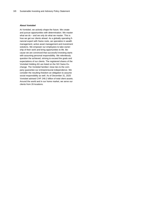#### **About Vontobel**

At Vontobel, we actively shape the future. We create and pursue opportunities with determination. We master what we do – and we only do what we master. This is how we get our clients ahead. As a globally operating financial expert with Swiss roots, we specialize in wealth management, active asset management and investment solutions. We empower our employees to take ownership of their work and bring opportunities to life. Because we are convinced that successful investing starts with assuming personal responsibility. We relentlessly question the achieved, striving to exceed the goals and expectations of our clients. The registered shares of the Vontobel Holding AG are listed on the SIX Swiss Exchange. The Vontobel families' close ties to the company guarantee our entrepreneurial independence. We consider the resulting freedom an obligation to assume social responsibility as well. As of December 31, 2020 Vontobel advised CHF 248.2 billion of total client assets. Around the world and in our home market, we serve our clients from 26 locations.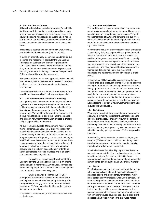#### <span id="page-3-0"></span>**1. Introduction and scope**

This policy details how Vontobel integrates Sustainability Risks, and Principal Adverse Sustainability Impacts in its investment decision, and advisory services. In particular, it explains with regards to Sustainable Finance our rationale, our objectives, governance structure and how we implement this policy across our business divisions.

This policy is updated to be in conformity with Article 3, and Article 4 of the Regulation (EU) 2019/2088.

It builds on internationally recognized standards for due diligence and reporting, in particular the UN Guiding Principles on Business and Human Rights and the OECD Guidelines for Multinational Enterprises. In addition, Vontobel adheres to voluntary due diligence, and reporting standards, including UN Global Compact and GRI's sustainability reporting framework.

This policy reflects our current approach, and we expect that this Policy will evolve over time to reflect changes in business practices, business structures, technology, and the law.

Vontobel's general commitment to sustainability is captured in our Sustainability Principles, see Appendix 1.

#### <span id="page-3-1"></span>**1.1. Our commitment to sustainable investing**

As a globally active investment manager, Vontobel recognizes that it has a responsibility (towards its stakeholders) to play an active role in the sustainable transformation of the economy and society for future generations. Vontobel therefore wants to engage in a dialogue with stakeholders about the challenges ahead and to show how this transformation process is creating unique opportunities for investors.

All our client units (Wealth Management, Asset Management, Platforms and Services, Digital Investing) offer sustainable investment solutions and/or advice and cooperate closely in this area. Vontobel is committed to a long-term process of improving our approach to integrating ESG into our investment processes. As part of the finance ecosystem, Vontobel believes in the value of collaborating with other investors. Therefore, Vontobel actively works in industry associations in order to advance sustainable investing practices and is an active participant in initiatives, such as:

– Principles for Responsible Investment (PRI). Supported by the United Nations, the PRI is an international network of more than 3,000 financial services providers working together to contribute to the development of a more sustainable financial system.

– Swiss Sustainable Finance (SSF). SSF strengthens Switzerland's position in the international marketplace for sustainable finance by informing, educating and supporting growth. Vontobel is a founding member of SSF and played a significant role in establishing the organization.

A full list of our memberships and initiatives is available on the internet.

#### <span id="page-3-2"></span>**1.2. Rationale and objective**

The world is facing powerful trends involving major economic, environmental and social changes. These trends result in risks and opportunities for investors. Through the incorporation of ESG considerations into our investment processes, we aim at improving the long-term riskreturn characteristics of our portfolios and/or at reflecting clients' values.

We strongly believe an effective identification of material Sustainability risks and opportunities requires thorough analysis because material ESG factors are often of a medium to long-term nature and are difficult to quantify as contributors to near term performance. For this reason, we emphasize the importance of transparent communication if, and how, material ESG considerations influence the decision making of our investment managers and advisors as outlined in section 5 of this policy.

In the context of Sustainability risks and opportunities, climate change is a relevant example. Vontobel believes that high- greenhouse gas emitting and extractive industries (e.g. thermal coal, oil sands and coal power generation) can introduce significant risks to a portfolio, particularly in the context of potential for new regulation, taxation or other constraints. On the other hand, today's problems motivate companies to provide innovative solutions leading to potential new investment opportunities (e.g. reduce air pollution).

#### <span id="page-3-3"></span>**1.3. Definitions**

We acknowledge that there is no standard approach to sustainable investing, but different approaches serving different client needs. For an overview of the different approaches, we refer to the classifications, which are commonly used in the market and by the relevant industry associations (see Appendix 2). We use the term sustainable investing synonymous with ESG or responsible investing.

Sustainability Risks are environmental, social, or governance (ESG) events or conditions that, if they occur, could cause an actual or a potential material negative impact on the value of the investment.

Principal Adverse Sustainability Impacts are those impacts of investment decisions, or investment advice that result in negative effects on sustainability factors, i.e. environmental, social and employee matters, respect for human rights, anti-corruption and anti-bribery matters".

#### <span id="page-3-4"></span>**1.4. Scope**

This Policy covers all business units of Vontobel unless otherwise specifically stated. It applies to all actively managed assets and discretionary/proprietary investment decisions by Vontobel as well as our advisory services with regards to investment proposals to clients. It excludes assets and products that are issued or held at the explicit request of our clients, including but not limited to: hedging positions, «execution only» business (custody assets/external asset managers), and transaction banking/products issued or traded at explicit client request (in particular in relation to structured notes).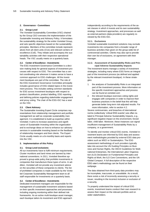#### <span id="page-4-0"></span>**2. Governance - Committees**

#### <span id="page-4-1"></span>**2.1. Group Level**

The Vontobel Sustainability Committee (VSC) chaired by the Group CEO oversees the implementation of the Sustainable Investing and Advisory Policy. It formulates the sustainability strategy for the entire Vontobel Group, and sets specific objectives based on the sustainability principles. Members of the committee include representatives from all client units (CUs) and relevant centers of excellence (CoE). They initiate and accompany the sustainability activities with their respective operational heads. The VSC usually meets on a quarterly basis.

#### <span id="page-4-2"></span>**2.2. Center of Excellence - Investments**

The ESG Investment Governance Committee is a decision making body for general aspects of investment processes with respect to ESG. The committee has a central coordinating role wherever it makes sense to have a common approach to ESG challenges. All the investment boutiques are part of the committee. The role of the ESG Investment Governance Committee principally includes governance of ESG related topics in the investment process. This includes setting common standards for ESG across investment boutiques with respect to product classification, product labelling, ESG reporting and defining policies regarding stakeholder engagement and proxy voting. The chair of the ESG-IGC has a seat on the VSC.

#### <span id="page-4-3"></span>**2.3. Client Advisory**

The Sustainable Investing Expert Circle comprises representatives from relationship management and portfolio management as well as corporate sustainability management. It is established to build up expertise within Vontobel. It aims to increase awareness and significance of Sustainable Investing within the organization and to exchange ideas on how to enhance our advisory services in sustainable investing based on the feedback of relationship managers and their clients. The Expert Circle usually meets on a bi-monthly basis and reports into the VSC.

#### <span id="page-4-4"></span>**3. Implementation of this Policy**

#### <span id="page-4-5"></span>**3.1. Group Level exclusions**

All our investments have to fulfil minimum requirements. Cluster munitions and land mines are banned by international conventions. In 2011, Vontobel therefore approved a group-wide policy that prohibits investments in companies that manufacture these types of arms. In addition, Vontobel will not provide any investment advice on the securities of these companies to clients. The list of prohibited companies is made available by the Vontobel Corporate Sustainability Management team to all staff responsible for investments on a quarterly basis.

#### <span id="page-4-6"></span>**3.2. Center of Excellence - Investments**

Dedicated investment managers are responsible for the management of sustainable investment solutions based on their specific investment approaches and processes, including ongoing monitoring within their defined risk frameworks. As an active multi-boutique asset manager, each boutique tailors its investment and ESG approach

independently according to the requirements of the asset classes in which it invests and its own sustainability strategy. Investment approaches, and processes as well as external partners (data providers) are regularly reviewed by the ESG-IGC.

#### <span id="page-4-7"></span>**3.2.1. Exclusions**

Vontobel sustainable investment solutions may exclude investments into companies from a broader range of business activities than given on the group-wide list of controversial activities. Clients may also opt to provide their own list of exclusions, on agreement with their manager.

#### <span id="page-4-8"></span>**3.2.2. Assessment of Sustainability Risks and Principal Adverse Sustainability Impacts**

The investment teams manage a variety of investment strategies, including many where ESG forms an integral part of the investment process (as defined and applied by the relevant investment boutique). In these strategies:

- 1. the analyses of Sustainability Risks is an integrated part of the investment process. More information on the specific investment approaches and process can be found at vontobel.com
- 2. the relevant boutique exercises voting rights and engages with companies in order to improve their business practices in the belief that this will help generate better long-term risk-adjusted results. For more information, refer to section 4.2.

Severe controversies, and breaches of international norms (collectively 'critical ESG events') are often related to Principal Adverse Sustainability Impacts, e.g., significant negative impact on the environment, forced labor, child labor. Moreover, these instances can signal insufficient management of Sustainability Risks by a company, or a government.

To identify and monitor critical ESG events, Vontobel investment teams are informed by ESG data and assessment methodologies provided by external ESG data providers such as MSCI or Sustainalytics. The ESG assessment methodology of such providers typically take into account the UN Guiding Principles on Business and Human Rights, the OECD Guidelines for Multinational Enterprises, the International Labor Organization (ILO) Declaration on Fundamental Principles and Rights at Work, the ILO Core Conventions, and the UN Global Compact. A full description of the respective ESG rater's methodology can be found on their webpage.

The data obtained from third-party data providers may be incomplete, inaccurate, or unavailable. As a result, there exists a risk of incorrectly assessing a security or issuer, resulting in the incorrect inclusion or exclusion of a security.

To properly understand the impact of critical ESG events, investment teams conduct their own research to assess their impact on the relevant portfolio and on wider stakeholders.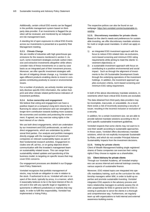Additionally, certain critical ESG events can be flagged in the portfolio management system based on thirdparty data provider. If an investments is flagged the position will be reviewed, and monitored by an independent risk management team.

A standing list of open exposures to critical ESG Events across our investments is presented at a quarterly Risk Management meeting.

#### <span id="page-5-0"></span>**3.2.3. Climate Change**

We are mindful of industries with high greenhouse gas emissions for the reasons mentioned in section [3.](#page-4-4) As such, some investment strategies exclude carbon intensive and extractive investments altogether while others consider risks of these investments on a case by case basis as an integrated part of their investment process. Moreover, we offer specific investment strategies with the aim of mitigating climate change, e.g. Vontobel manages different products enabling clients to invest in companies contributing positively to social or environmental issues.

For a number of products, we actively monitor and regularly disclose specific ESG information, the carbon footprint and other climate related performance indicators of investment portfolios.

#### <span id="page-5-1"></span>**3.2.4. Active ownership and engagement**

We believe that voting and engagement can have a positive impact on a company's long-term returns by influencing its values and behavior and can strengthen its longer-term contribution towards building more sustainable economies and societies and protecting the environment. If agreed, we may exercise voting rights in the best interest of our clients.

We use both direct engagements, which are undertaken by our investment and ESG professionals, as well as indirect engagements, which are undertaken by professional third parties. Our analysts and portfolio managers directly engage with the management of investment companies on relevant sustainability topics as part of their fundamental research activities. Engagement includes one-off, ad-hoc, or on-going objective driven communication with the investee's management team on sustainability related issues. This can range from sustainability related updates and questioning of the business model, to targeting on specific issues that may cover ESG concerns.

Our engagement processes are detailed in our Engagement Policy Statement.

Vontobel recognizes that portfolio management of stocks, may include an obligation to vote in relation to the stock. If authorized to do so, Vontobel will vote in respect of the stock, typically by proxy, in a manner, which it reasonably believes to be in the best interest of the client and in line with any specific legal or regulatory requirements in different jurisdictions or markets that may apply. In order to fulfil this responsibility, Vontobel has implemented a Voting Policy.

The respective polices can also be found on our webpage[: https://am.vontobel.com/en/sustainable-in](https://am.vontobel.com/en/sustainable-investing)[vesting](https://am.vontobel.com/en/sustainable-investing)

<span id="page-5-2"></span>**3.2.5. Discretionary mandates for private clients**  Based on the client's needs and preferences for sustainable investing, we offer discretionary mandate solutions for multi or single asset mandates. In which we apply either:

- 1) an integrated ESG investment approach with the focus to reduce ESG-related risks via exclusions, norm-based screening and minimum ESG rating requirements while aiming to meet the clients' investment objective(s); or
- 2) a sustainable investment approach with focus on contributing to a positive environmental and social impact. Such as through the alignment of investments to the UN Sustainable Development Goals through the underlying operations of the investment holdings. In addition, the investment approach applies exclusion criteria, norm-based screening and minimum ESG rating requirement.

In both of the above discretionary mandate solutions, investments which have critical ESG Events are excluded.

The data obtained from third-party data providers may be incomplete, inaccurate, or unavailable. As a result, there exists a risk of incorrectly assessing a security or issuer, resulting in the incorrect inclusion or exclusion of a security.

In addition, for a certain investment size, we are able to provide tailored mandate solutions according to the client's specific sustainable investment guidelines.

Vontobel respects that some clients may not want to invest their wealth according to sustainable approaches. In these cases, Vontobel offers discretionary mandate solutions, which do not explicitly incorporate Sustainability Risks, and which do not consider Principal Adverse Sustainability Impacts from the investment decisions.

#### <span id="page-5-3"></span>**3.2.6. Voting for private clients**

Client of Wealth Management holding single registered shares of Swiss companies can exercise their voting rights if they choose to register as a shareholder.

#### <span id="page-5-4"></span>**3.3. Client Advisory for private clients**

Through our Vontobel Academy, all Vontobel employees can access internal and external trainings covering various aspects of sustainable finance.

Moreover, ESG related topics are integrated into specific mandatory training, such as the curriculum for relationship managers within WM, in order to build-up expertise and promote sustainable investing. Vontobel integrates ESG aspects in the advisory process and trains relationship managers to actively assess the clients' propensities for ESG in general and for ESG investing in particular to serve the clients in a thorough and comprehensive way. Furthermore, we regularly team up with organizations to hold internal and external awareness-building events.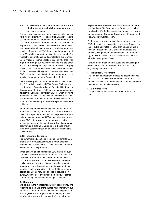#### <span id="page-6-0"></span>**3.3.1. Assessment of Sustainability Risks and Principal Adverse Sustainability Impacts in our advisory services**

Our advisory services may be associated with financial risks for our clients. We consider Sustainability Risks to be material and with the potential to affect the long-term risk and return profile on an investment. We therefor integrate Sustainability Risk considerations into our investment research and investment advice relying on a combination of specialised ESG data from third parties, such as MSCI, and from proprietary investment research. The respective information is made available to our client advisors through recommendation lists (buy/hold/sell ratings) and through our advisory solutions and are taken into account when providing investment advice. We apply a holistic approach to investment advisory but we are particularly cautious with regards to assets that have poor ESG credentials, indicating that such a company has an insufficient management of Sustainability Risks.

Client Advisory also upholds the beliefs outlined in section 3.2.2 relating to Critical ESG Events. To identify and consider such Potential Adverse Sustainability Impacts, the respective third-party ESG data is integrated into our advisory solutions used by client advisors when providing investment advice to private clients. In addition, for a certain investment size, we are able to provide tailored advisory services according to the client-specific investment guidelines.

When defining and implementing ESG criteria for such investment solutions, and structured solutions the business draws upon data and specialist expertise of Vontobel's investment teams and ESG specialists and/or external ESG data providers. In the area of collective investment instruments, and structured solutions, Vontobel offers its clients a broad range of in-house and/or third party collective instruments that fulfil our sustainable standards.

#### <span id="page-6-1"></span>**3.3.2. Structured products**

For our structured solutions, Vontobel implements ESG criteria on a product level through a range of specific thematic based investment products, which it structures issues and actively promotes.

When defining and implementing ESG criteria for such purposes, the business draws upon data and specialist expertise of Vontobel's investment teams and ESG specialists and/or external ESG data providers. Moreover, advisory clients have the option of individually structuring products based on an investment universe of sustainable assets provided by –internal ESG/ Investment specialists. Clients may also choose to provide their own ESG universes, investment themes etc. or opt for our structuring, execution and wrapper solutions.

#### <span id="page-6-2"></span>**4. Reporting**

We believe in the highest standards of transparency and reporting as the basis of the trusted relationship with our clients. We report on our sustainable investing activities and progress in the Corporate Responsibility and Sustainability Report, which is part of the Vontobel Annual

Report, and we provide further information on our website. Our latest PRI Transparency Report can also be found [online.](https://www.unpri.org/signatories/transparency-reports-2019/4506.article) For further information on activities, please contact Vontobel Corporate Sustainability Management, sustainability@vontobel.com.

Furthermore, for selected investment products, specific ESG information is disclosed to our clients. This may include, but is not limited to: ESG profiles and ratings of selected investments, ESG profile of mandates and funds including benchmark comparison, CO2e reporting, or, where relevant, impact based on the UN Sustainable Development Goals.

For further information on our sustainable investing approach please contact Vontobel ESG Center, amgsesgcenter@vontobel.com

#### <span id="page-6-3"></span>**5. Transitional Agreement**

The AM risk management process as described in section 3.2.2. will be fully implemented by June 30, 2021 at the latest. Until full implementation, the existing directive shall be applied mutatis mutandis

#### <span id="page-6-4"></span>**6. Entry into force**

This policy statement enters into force on March 9, 2021.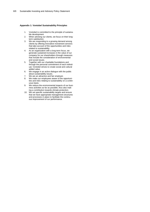#### **Appendix 1: Vontobel Sustainability Principles**

- 1. Vontobel is committed to the principle of sustainable development.
- 2. When advising our clients, we focus on their longterm satisfaction.
- 3. We are responding to a growing demand among clients by offering innovative investment services that take account of the opportunities and risks related to sustainability.
- 4. As an organization with a long-term focus, we generate sustained increases in the value of our company for our shareholders through measures that include the consideration of environmental and social issues.
- 5. Together with our charitable foundations and through the personal commitment of each individual, Vontobel strives to create social and cultural added value.
- 6. We engage in an active dialogue with the public about sustainability issues.
- 7. We are an attractive and fair employer.
- 8. We make our employees aware of the opportunities and risks relating to sustainability on a continuous basis.
- 9. We reduce the environmental impacts of our business activities as far as possible, thus also making a contribution towards climate protection.
- 10. We set specific sustainability targets and ensure that we have appropriate management structures and processes in place to facilitate the continuous improvement of our performance.